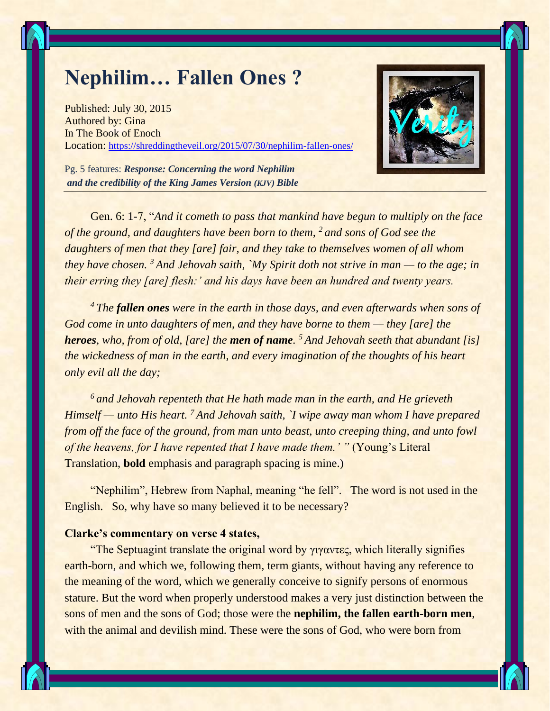## **Nephilim… Fallen Ones ?**

Published: [July 30, 2015](https://shreddingtheveil.org/2015/07/30/nephilim-fallen-ones/) Authored by: [Gina](https://shreddingtheveil.org/author/adamoj/) In [The Book of Enoch](https://shreddingtheveil.org/category/the-book-of-enoch/) Location: <https://shreddingtheveil.org/2015/07/30/nephilim-fallen-ones/>



Pg. 5 features: *Response: Concerning the word Nephilim and the credibility of the King James Version (KJV) Bible*

Gen. 6: 1-7, "*And it cometh to pass that mankind have begun to multiply on the face of the ground, and daughters have been born to them, <sup>2</sup> and sons of God see the daughters of men that they [are] fair, and they take to themselves women of all whom they have chosen. <sup>3</sup> And Jehovah saith, `My Spirit doth not strive in man — to the age; in their erring they [are] flesh:' and his days have been an hundred and twenty years.* 

*<sup>4</sup> The fallen ones were in the earth in those days, and even afterwards when sons of God come in unto daughters of men, and they have borne to them — they [are] the heroes, who, from of old, [are] the men of name. <sup>5</sup> And Jehovah seeth that abundant [is] the wickedness of man in the earth, and every imagination of the thoughts of his heart only evil all the day;*

*<sup>6</sup> and Jehovah repenteth that He hath made man in the earth, and He grieveth Himself — unto His heart. <sup>7</sup> And Jehovah saith, `I wipe away man whom I have prepared from off the face of the ground, from man unto beast, unto creeping thing, and unto fowl of the heavens, for I have repented that I have made them.' " (Young's Literal* Translation, **bold** emphasis and paragraph spacing is mine.)

"Nephilim", Hebrew from Naphal, meaning "he fell". The word is not used in the English. So, why have so many believed it to be necessary?

## **Clarke's commentary on verse 4 states,**

"The Septuagint translate the original word by γιγαντες, which literally signifies earth-born, and which we, following them, term giants, without having any reference to the meaning of the word, which we generally conceive to signify persons of enormous stature. But the word when properly understood makes a very just distinction between the sons of men and the sons of God; those were the **nephilim, the fallen earth-born men**, with the animal and devilish mind. These were the sons of God, who were born from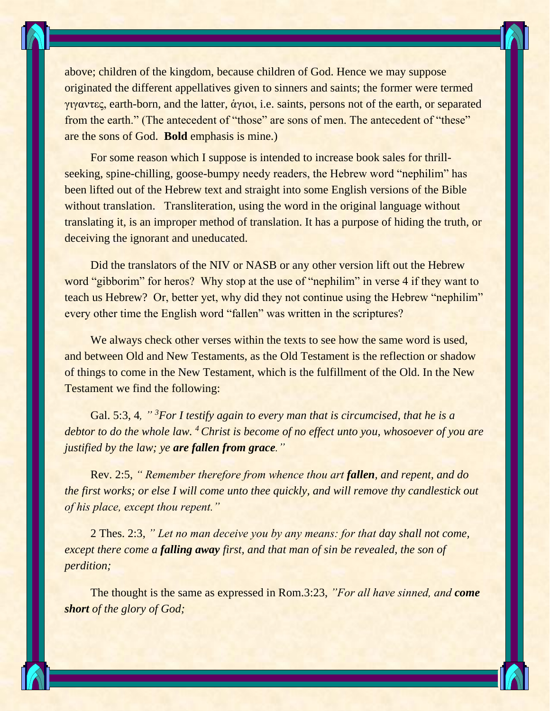

above; children of the kingdom, because children of God. Hence we may suppose originated the different appellatives given to sinners and saints; the former were termed γιγαντες, earth-born, and the latter, ἁγιοι, i.e. saints, persons not of the earth, or separated from the earth." (The antecedent of "those" are sons of men. The antecedent of "these" are the sons of God. **Bold** emphasis is mine.)

For some reason which I suppose is intended to increase book sales for thrillseeking, spine-chilling, goose-bumpy needy readers, the Hebrew word "nephilim" has been lifted out of the Hebrew text and straight into some English versions of the Bible without translation. Transliteration, using the word in the original language without translating it, is an improper method of translation. It has a purpose of hiding the truth, or deceiving the ignorant and uneducated.

Did the translators of the NIV or NASB or any other version lift out the Hebrew word "gibborim" for heros? Why stop at the use of "nephilim" in verse 4 if they want to teach us Hebrew? Or, better yet, why did they not continue using the Hebrew "nephilim" every other time the English word "fallen" was written in the scriptures?

We always check other verses within the texts to see how the same word is used, and between Old and New Testaments, as the Old Testament is the reflection or shadow of things to come in the New Testament, which is the fulfillment of the Old. In the New Testament we find the following:

Gal. 5:3, 4*, " <sup>3</sup>For I testify again to every man that is circumcised, that he is a debtor to do the whole law. <sup>4</sup> Christ is become of no effect unto you, whosoever of you are justified by the law; ye are fallen from grace."*

Rev. 2:5, *" Remember therefore from whence thou art fallen, and repent, and do the first works; or else I will come unto thee quickly, and will remove thy candlestick out of his place, except thou repent."*

2 Thes. 2:3, *" Let no man deceive you by any means: for that day shall not come, except there come a falling away first, and that man of sin be revealed, the son of perdition;*

The thought is the same as expressed in Rom.3:23, *"For all have sinned, and come short of the glory of God;*

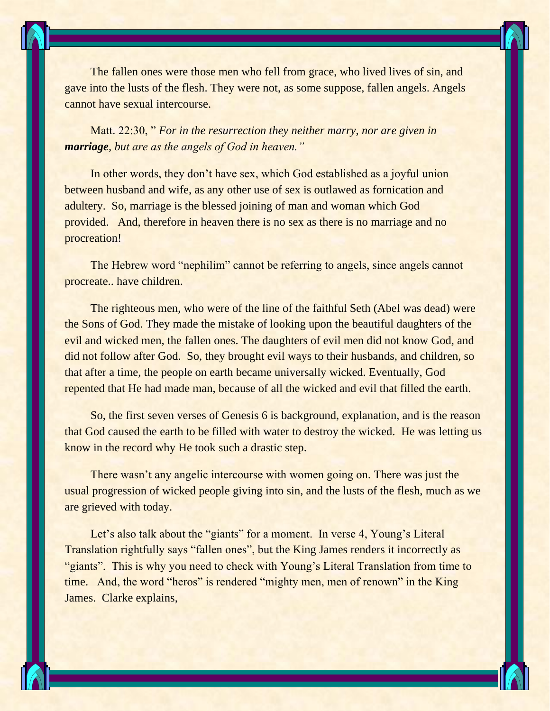The fallen ones were those men who fell from grace, who lived lives of sin, and gave into the lusts of the flesh. They were not, as some suppose, fallen angels. Angels cannot have sexual intercourse.

Matt. 22:30, " *For in the resurrection they neither marry, nor are given in marriage, but are as the angels of God in heaven."*

In other words, they don't have sex, which God established as a joyful union between husband and wife, as any other use of sex is outlawed as fornication and adultery. So, marriage is the blessed joining of man and woman which God provided. And, therefore in heaven there is no sex as there is no marriage and no procreation!

The Hebrew word "nephilim" cannot be referring to angels, since angels cannot procreate.. have children.

The righteous men, who were of the line of the faithful Seth (Abel was dead) were the Sons of God. They made the mistake of looking upon the beautiful daughters of the evil and wicked men, the fallen ones. The daughters of evil men did not know God, and did not follow after God. So, they brought evil ways to their husbands, and children, so that after a time, the people on earth became universally wicked. Eventually, God repented that He had made man, because of all the wicked and evil that filled the earth.

So, the first seven verses of Genesis 6 is background, explanation, and is the reason that God caused the earth to be filled with water to destroy the wicked. He was letting us know in the record why He took such a drastic step.

There wasn't any angelic intercourse with women going on. There was just the usual progression of wicked people giving into sin, and the lusts of the flesh, much as we are grieved with today.

Let's also talk about the "giants" for a moment. In verse 4, Young's Literal Translation rightfully says "fallen ones", but the King James renders it incorrectly as "giants". This is why you need to check with Young's Literal Translation from time to time. And, the word "heros" is rendered "mighty men, men of renown" in the King James. Clarke explains,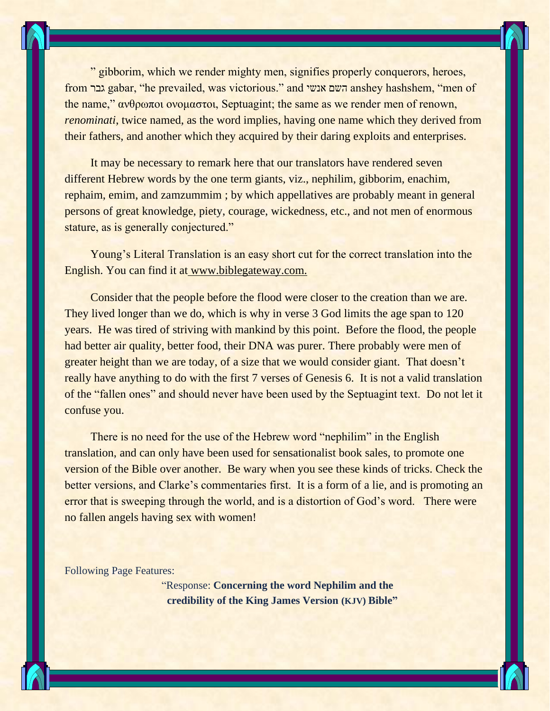" gibborim, which we render mighty men, signifies properly conquerors, heroes, from גבר gabar, "he prevailed, was victorious." and אנשי השם anshey hashshem, "men of the name," ανθρωποι ονομαστοι, Septuagint; the same as we render men of renown, *renominati*, twice named, as the word implies, having one name which they derived from their fathers, and another which they acquired by their daring exploits and enterprises.

It may be necessary to remark here that our translators have rendered seven different Hebrew words by the one term giants, viz., nephilim, gibborim, enachim, rephaim, emim, and zamzummim ; by which appellatives are probably meant in general persons of great knowledge, piety, courage, wickedness, etc., and not men of enormous stature, as is generally conjectured."

Young's Literal Translation is an easy short cut for the correct translation into the English. You can find it at [www.biblegateway.com.](https://shreddingtheveil.org/2015/07/30/nephilim-fallen-ones/%20www.biblegateway.com.)

Consider that the people before the flood were closer to the creation than we are. They lived longer than we do, which is why in verse 3 God limits the age span to 120 years. He was tired of striving with mankind by this point. Before the flood, the people had better air quality, better food, their DNA was purer. There probably were men of greater height than we are today, of a size that we would consider giant. That doesn't really have anything to do with the first 7 verses of Genesis 6. It is not a valid translation of the "fallen ones" and should never have been used by the Septuagint text. Do not let it confuse you.

There is no need for the use of the Hebrew word "nephilim" in the English translation, and can only have been used for sensationalist book sales, to promote one version of the Bible over another. Be wary when you see these kinds of tricks. Check the better versions, and Clarke's commentaries first. It is a form of a lie, and is promoting an error that is sweeping through the world, and is a distortion of God's word. There were no fallen angels having sex with women!

Following Page Features:

"Response: **Concerning the word Nephilim and the credibility of the King James Version (KJV) Bible"**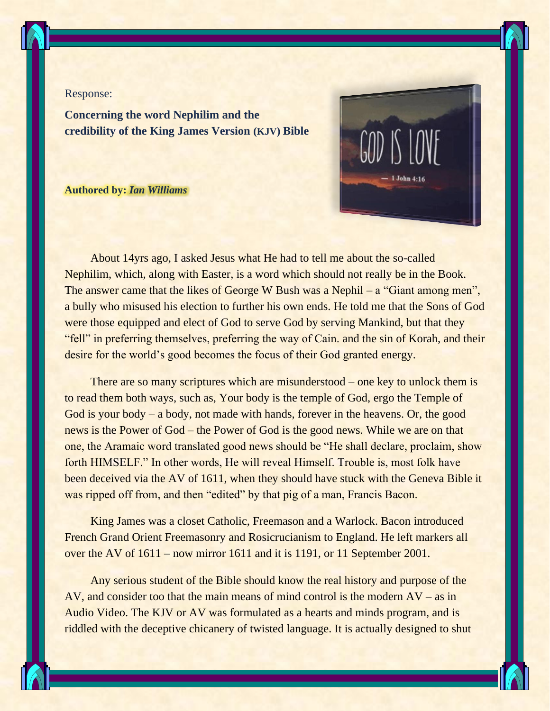

## Response:

**Concerning the word Nephilim and the credibility of the King James Version (KJV) Bible**

## **Authored by:** *[Ian Williams](http://www.facebook.com/567385483)*



About 14yrs ago, I asked Jesus what He had to tell me about the so-called Nephilim, which, along with Easter, is a word which should not really be in the Book. The answer came that the likes of George W Bush was a Nephil – a "Giant among men", a bully who misused his election to further his own ends. He told me that the Sons of God were those equipped and elect of God to serve God by serving Mankind, but that they "fell" in preferring themselves, preferring the way of Cain. and the sin of Korah, and their desire for the world's good becomes the focus of their God granted energy.

There are so many scriptures which are misunderstood – one key to unlock them is to read them both ways, such as, Your body is the temple of God, ergo the Temple of God is your body – a body, not made with hands, forever in the heavens. Or, the good news is the Power of God – the Power of God is the good news. While we are on that one, the Aramaic word translated good news should be "He shall declare, proclaim, show forth HIMSELF." In other words, He will reveal Himself. Trouble is, most folk have been deceived via the AV of 1611, when they should have stuck with the Geneva Bible it was ripped off from, and then "edited" by that pig of a man, Francis Bacon.

King James was a closet Catholic, Freemason and a Warlock. Bacon introduced French Grand Orient Freemasonry and Rosicrucianism to England. He left markers all over the AV of 1611 – now mirror 1611 and it is 1191, or 11 September 2001.

Any serious student of the Bible should know the real history and purpose of the AV, and consider too that the main means of mind control is the modern AV – as in Audio Video. The KJV or AV was formulated as a hearts and minds program, and is riddled with the deceptive chicanery of twisted language. It is actually designed to shut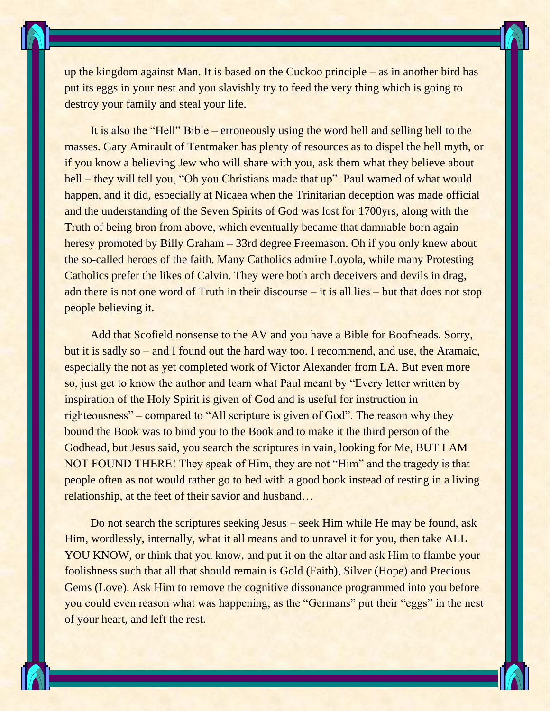up the kingdom against Man. It is based on the Cuckoo principle – as in another bird has put its eggs in your nest and you slavishly try to feed the very thing which is going to destroy your family and steal your life.

It is also the "Hell" Bible – erroneously using the word hell and selling hell to the masses. Gary Amirault of Tentmaker has plenty of resources as to dispel the hell myth, or if you know a believing Jew who will share with you, ask them what they believe about hell – they will tell you, "Oh you Christians made that up". Paul warned of what would happen, and it did, especially at Nicaea when the Trinitarian deception was made official and the understanding of the Seven Spirits of God was lost for 1700yrs, along with the Truth of being bron from above, which eventually became that damnable born again heresy promoted by Billy Graham – 33rd degree Freemason. Oh if you only knew about the so-called heroes of the faith. Many Catholics admire Loyola, while many Protesting Catholics prefer the likes of Calvin. They were both arch deceivers and devils in drag, adn there is not one word of Truth in their discourse – it is all lies – but that does not stop people believing it.

Add that Scofield nonsense to the AV and you have a Bible for Boofheads. Sorry, but it is sadly so – and I found out the hard way too. I recommend, and use, the Aramaic, especially the not as yet completed work of Victor Alexander from LA. But even more so, just get to know the author and learn what Paul meant by "Every letter written by inspiration of the Holy Spirit is given of God and is useful for instruction in righteousness" – compared to "All scripture is given of God". The reason why they bound the Book was to bind you to the Book and to make it the third person of the Godhead, but Jesus said, you search the scriptures in vain, looking for Me, BUT I AM NOT FOUND THERE! They speak of Him, they are not "Him" and the tragedy is that people often as not would rather go to bed with a good book instead of resting in a living relationship, at the feet of their savior and husband…

Do not search the scriptures seeking Jesus – seek Him while He may be found, ask Him, wordlessly, internally, what it all means and to unravel it for you, then take ALL YOU KNOW, or think that you know, and put it on the altar and ask Him to flambe your foolishness such that all that should remain is Gold (Faith), Silver (Hope) and Precious Gems (Love). Ask Him to remove the cognitive dissonance programmed into you before you could even reason what was happening, as the "Germans" put their "eggs" in the nest of your heart, and left the rest.